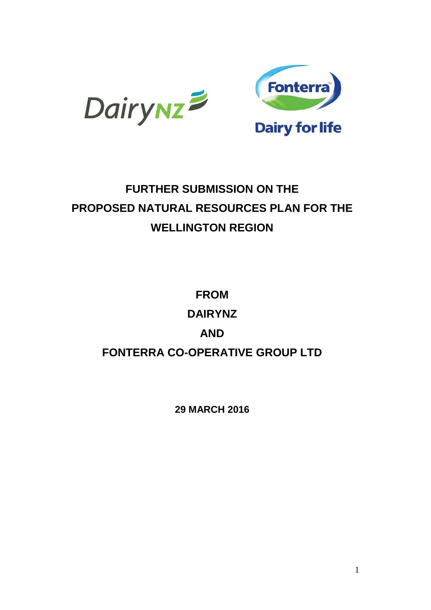



# **FURTHER SUBMISSION ON THE PROPOSED NATURAL RESOURCES PLAN FOR THE WELLINGTON REGION**

**FROM DAIRYNZ AND FONTERRA CO-OPERATIVE GROUP LTD**

**29 MARCH 2016**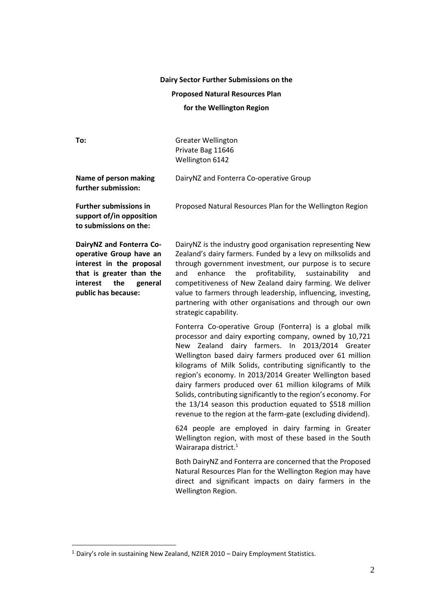#### **Dairy Sector Further Submissions on the**

## **Proposed Natural Resources Plan**

#### **for the Wellington Region**

| To:                                                                                                                                                              | <b>Greater Wellington</b><br>Private Bag 11646<br>Wellington 6142                                                                                                                                                                                                                                                                                                                                                                                                                                                                                                                                                                       |
|------------------------------------------------------------------------------------------------------------------------------------------------------------------|-----------------------------------------------------------------------------------------------------------------------------------------------------------------------------------------------------------------------------------------------------------------------------------------------------------------------------------------------------------------------------------------------------------------------------------------------------------------------------------------------------------------------------------------------------------------------------------------------------------------------------------------|
| Name of person making<br>further submission:                                                                                                                     | DairyNZ and Fonterra Co-operative Group                                                                                                                                                                                                                                                                                                                                                                                                                                                                                                                                                                                                 |
| <b>Further submissions in</b><br>support of/in opposition<br>to submissions on the:                                                                              | Proposed Natural Resources Plan for the Wellington Region                                                                                                                                                                                                                                                                                                                                                                                                                                                                                                                                                                               |
| DairyNZ and Fonterra Co-<br>operative Group have an<br>interest in the proposal<br>that is greater than the<br>interest<br>the<br>general<br>public has because: | DairyNZ is the industry good organisation representing New<br>Zealand's dairy farmers. Funded by a levy on milksolids and<br>through government investment, our purpose is to secure<br>profitability,<br>enhance<br>the<br>sustainability<br>and<br>and<br>competitiveness of New Zealand dairy farming. We deliver<br>value to farmers through leadership, influencing, investing,<br>partnering with other organisations and through our own<br>strategic capability.                                                                                                                                                                |
|                                                                                                                                                                  | Fonterra Co-operative Group (Fonterra) is a global milk<br>processor and dairy exporting company, owned by 10,721<br>New Zealand dairy farmers. In 2013/2014 Greater<br>Wellington based dairy farmers produced over 61 million<br>kilograms of Milk Solids, contributing significantly to the<br>region's economy. In 2013/2014 Greater Wellington based<br>dairy farmers produced over 61 million kilograms of Milk<br>Solids, contributing significantly to the region's economy. For<br>the 13/14 season this production equated to \$518 million<br>revenue to the region at the farm-gate (excluding dividend).<br>$\overline{a}$ |

624 people are employed in dairy farming in Greater Wellington region, with most of these based in the South Wairarapa district.<sup>1</sup>

Both DairyNZ and Fonterra are concerned that the Proposed Natural Resources Plan for the Wellington Region may have direct and significant impacts on dairy farmers in the Wellington Region.

<sup>1</sup> Dairy's role in sustaining New Zealand, NZIER 2010 – Dairy Employment Statistics.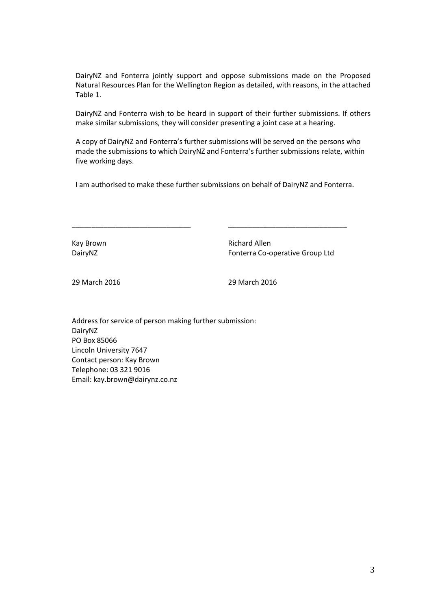DairyNZ and Fonterra jointly support and oppose submissions made on the Proposed Natural Resources Plan for the Wellington Region as detailed, with reasons, in the attached Table 1.

DairyNZ and Fonterra wish to be heard in support of their further submissions. If others make similar submissions, they will consider presenting a joint case at a hearing.

A copy of DairyNZ and Fonterra's further submissions will be served on the persons who made the submissions to which DairyNZ and Fonterra's further submissions relate, within five working days.

I am authorised to make these further submissions on behalf of DairyNZ and Fonterra.

\_\_\_\_\_\_\_\_\_\_\_\_\_\_\_\_\_\_\_\_\_\_\_\_\_\_\_\_\_\_ \_\_\_\_\_\_\_\_\_\_\_\_\_\_\_\_\_\_\_\_\_\_\_\_\_\_\_\_\_\_

Kay Brown **Richard Allen** DairyNZ **Fonterra Co-operative Group Ltd** 

29 March 2016 29 March 2016

Address for service of person making further submission: DairyNZ PO Box 85066 Lincoln University 7647 Contact person: Kay Brown Telephone: 03 321 9016 Email: kay.brown@dairynz.co.nz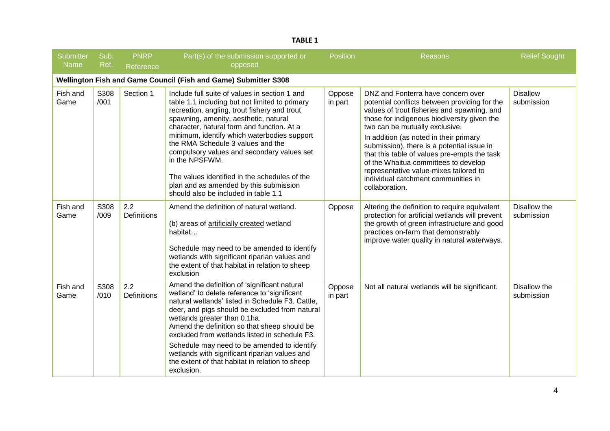| Submitter<br>Name | Sub.<br>Ref. | <b>PNRP</b><br>Reference  | Part(s) of the submission supported or<br>opposed                                                                                                                                                                                                                                                                                                                                                                                                                                                                             | <b>Position</b>   | <b>Reasons</b>                                                                                                                                                                                                                                                                                                                                                                                                                                                                                         | <b>Relief Sought</b>          |
|-------------------|--------------|---------------------------|-------------------------------------------------------------------------------------------------------------------------------------------------------------------------------------------------------------------------------------------------------------------------------------------------------------------------------------------------------------------------------------------------------------------------------------------------------------------------------------------------------------------------------|-------------------|--------------------------------------------------------------------------------------------------------------------------------------------------------------------------------------------------------------------------------------------------------------------------------------------------------------------------------------------------------------------------------------------------------------------------------------------------------------------------------------------------------|-------------------------------|
|                   |              |                           | Wellington Fish and Game Council (Fish and Game) Submitter S308                                                                                                                                                                                                                                                                                                                                                                                                                                                               |                   |                                                                                                                                                                                                                                                                                                                                                                                                                                                                                                        |                               |
| Fish and<br>Game  | S308<br>/001 | Section 1                 | Include full suite of values in section 1 and<br>table 1.1 including but not limited to primary<br>recreation, angling, trout fishery and trout<br>spawning, amenity, aesthetic, natural<br>character, natural form and function. At a<br>minimum, identify which waterbodies support<br>the RMA Schedule 3 values and the<br>compulsory values and secondary values set<br>in the NPSFWM.<br>The values identified in the schedules of the<br>plan and as amended by this submission<br>should also be included in table 1.1 | Oppose<br>in part | DNZ and Fonterra have concern over<br>potential conflicts between providing for the<br>values of trout fisheries and spawning, and<br>those for indigenous biodiversity given the<br>two can be mutually exclusive.<br>In addition (as noted in their primary<br>submission), there is a potential issue in<br>that this table of values pre-empts the task<br>of the Whaitua committees to develop<br>representative value-mixes tailored to<br>individual catchment communities in<br>collaboration. | <b>Disallow</b><br>submission |
| Fish and<br>Game  | S308<br>/009 | 2.2<br><b>Definitions</b> | Amend the definition of natural wetland.<br>(b) areas of artificially created wetland<br>habitat<br>Schedule may need to be amended to identify<br>wetlands with significant riparian values and<br>the extent of that habitat in relation to sheep<br>exclusion                                                                                                                                                                                                                                                              | Oppose            | Altering the definition to require equivalent<br>protection for artificial wetlands will prevent<br>the growth of green infrastructure and good<br>practices on-farm that demonstrably<br>improve water quality in natural waterways.                                                                                                                                                                                                                                                                  | Disallow the<br>submission    |
| Fish and<br>Game  | S308<br>/010 | 2.2<br><b>Definitions</b> | Amend the definition of 'significant natural<br>wetland' to delete reference to 'significant<br>natural wetlands' listed in Schedule F3. Cattle,<br>deer, and pigs should be excluded from natural<br>wetlands greater than 0.1ha.<br>Amend the definition so that sheep should be<br>excluded from wetlands listed in schedule F3.<br>Schedule may need to be amended to identify<br>wetlands with significant riparian values and<br>the extent of that habitat in relation to sheep<br>exclusion.                          | Oppose<br>in part | Not all natural wetlands will be significant.                                                                                                                                                                                                                                                                                                                                                                                                                                                          | Disallow the<br>submission    |

## **TABLE 1**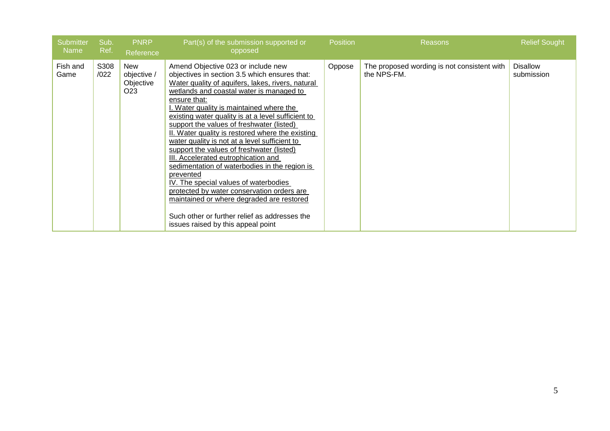| <b>Submitter</b><br>Name | Sub.<br>Ref. | <b>PNRP</b><br>Reference                                  | Part(s) of the submission supported or<br>opposed                                                                                                                                                                                                                                                                                                                                                                                                                                                                                                                                                                                                                                                                                                                                                                                     | Position <sup>'</sup> | <b>Reasons</b>                                             | <b>Relief Sought</b>          |
|--------------------------|--------------|-----------------------------------------------------------|---------------------------------------------------------------------------------------------------------------------------------------------------------------------------------------------------------------------------------------------------------------------------------------------------------------------------------------------------------------------------------------------------------------------------------------------------------------------------------------------------------------------------------------------------------------------------------------------------------------------------------------------------------------------------------------------------------------------------------------------------------------------------------------------------------------------------------------|-----------------------|------------------------------------------------------------|-------------------------------|
| Fish and<br>Game         | S308<br>/022 | <b>New</b><br>objective /<br>Objective<br>O <sub>23</sub> | Amend Objective 023 or include new<br>objectives in section 3.5 which ensures that:<br>Water quality of aquifers, lakes, rivers, natural<br>wetlands and coastal water is managed to<br>ensure that:<br>I. Water quality is maintained where the<br>existing water quality is at a level sufficient to<br>support the values of freshwater (listed)<br>II. Water quality is restored where the existing<br>water quality is not at a level sufficient to<br>support the values of freshwater (listed)<br>III. Accelerated eutrophication and<br>sedimentation of waterbodies in the region is<br>prevented<br>IV. The special values of waterbodies<br>protected by water conservation orders are<br>maintained or where degraded are restored<br>Such other or further relief as addresses the<br>issues raised by this appeal point | Oppose                | The proposed wording is not consistent with<br>the NPS-FM. | <b>Disallow</b><br>submission |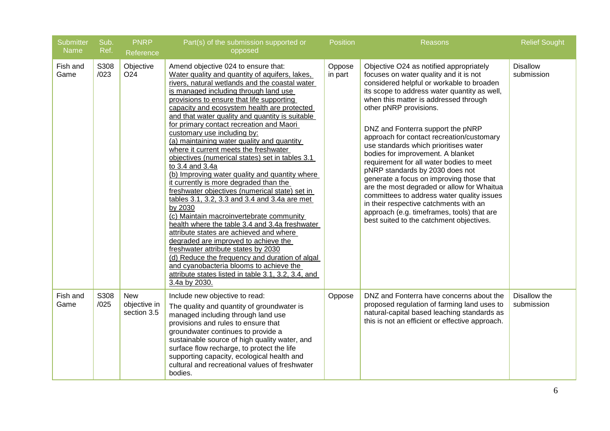| <b>Submitter</b><br>Name | Sub.<br>Ref. | <b>PNRP</b><br>Reference                  | Part(s) of the submission supported or<br>opposed                                                                                                                                                                                                                                                                                                                                                                                                                                                                                                                                                                                                                                                                                                                                                                                                                                                                                                                                                                                                                                                                                                                              | <b>Position</b>   | <b>Reasons</b>                                                                                                                                                                                                                                                                                                                                                                                                                                                                                                                                                                                                                                                                                                                                                               | <b>Relief Sought</b>          |
|--------------------------|--------------|-------------------------------------------|--------------------------------------------------------------------------------------------------------------------------------------------------------------------------------------------------------------------------------------------------------------------------------------------------------------------------------------------------------------------------------------------------------------------------------------------------------------------------------------------------------------------------------------------------------------------------------------------------------------------------------------------------------------------------------------------------------------------------------------------------------------------------------------------------------------------------------------------------------------------------------------------------------------------------------------------------------------------------------------------------------------------------------------------------------------------------------------------------------------------------------------------------------------------------------|-------------------|------------------------------------------------------------------------------------------------------------------------------------------------------------------------------------------------------------------------------------------------------------------------------------------------------------------------------------------------------------------------------------------------------------------------------------------------------------------------------------------------------------------------------------------------------------------------------------------------------------------------------------------------------------------------------------------------------------------------------------------------------------------------------|-------------------------------|
| Fish and<br>Game         | S308<br>/023 | Objective<br>O <sub>24</sub>              | Amend objective 024 to ensure that:<br>Water quality and quantity of aquifers, lakes,<br>rivers, natural wetlands and the coastal water<br>is managed including through land use<br>provisions to ensure that life supporting<br>capacity and ecosystem health are protected<br>and that water quality and quantity is suitable<br>for primary contact recreation and Maori<br>customary use including by:<br>(a) maintaining water quality and quantity<br>where it current meets the freshwater<br>objectives (numerical states) set in tables 3.1<br>to 3.4 and 3.4a<br>(b) Improving water quality and quantity where<br>it currently is more degraded than the<br>freshwater objectives (numerical state) set in<br>tables 3.1, 3.2, 3.3 and 3.4 and 3.4a are met<br>by 2030<br>(c) Maintain macroinvertebrate community<br>health where the table 3.4 and 3.4a freshwater<br>attribute states are achieved and where<br>degraded are improved to achieve the<br>freshwater attribute states by 2030<br>(d) Reduce the frequency and duration of algal<br>and cyanobacteria blooms to achieve the<br>attribute states listed in table 3.1, 3.2, 3.4, and<br>3.4a by 2030. | Oppose<br>in part | Objective O24 as notified appropriately<br>focuses on water quality and it is not<br>considered helpful or workable to broaden<br>its scope to address water quantity as well,<br>when this matter is addressed through<br>other pNRP provisions.<br>DNZ and Fonterra support the pNRP<br>approach for contact recreation/customary<br>use standards which prioritises water<br>bodies for improvement. A blanket<br>requirement for all water bodies to meet<br>pNRP standards by 2030 does not<br>generate a focus on improving those that<br>are the most degraded or allow for Whaitua<br>committees to address water quality issues<br>in their respective catchments with an<br>approach (e.g. timeframes, tools) that are<br>best suited to the catchment objectives. | <b>Disallow</b><br>submission |
| Fish and<br>Game         | S308<br>/025 | <b>New</b><br>objective in<br>section 3.5 | Include new objective to read:<br>The quality and quantity of groundwater is<br>managed including through land use<br>provisions and rules to ensure that<br>groundwater continues to provide a<br>sustainable source of high quality water, and<br>surface flow recharge, to protect the life<br>supporting capacity, ecological health and<br>cultural and recreational values of freshwater<br>bodies.                                                                                                                                                                                                                                                                                                                                                                                                                                                                                                                                                                                                                                                                                                                                                                      | Oppose            | DNZ and Fonterra have concerns about the<br>proposed regulation of farming land uses to<br>natural-capital based leaching standards as<br>this is not an efficient or effective approach.                                                                                                                                                                                                                                                                                                                                                                                                                                                                                                                                                                                    | Disallow the<br>submission    |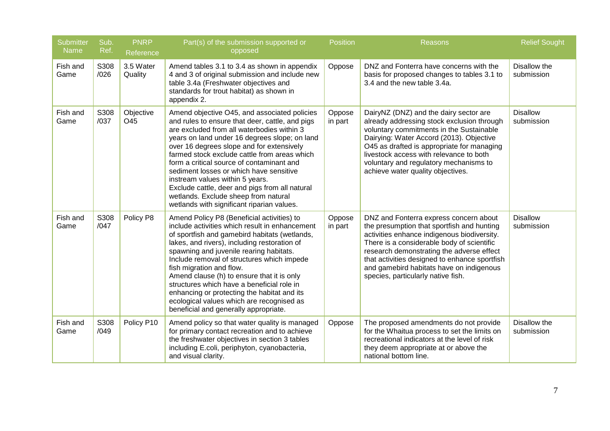| <b>Submitter</b><br><b>Name</b> | Sub.<br>Ref. | <b>PNRP</b><br>Reference | Part(s) of the submission supported or<br>opposed                                                                                                                                                                                                                                                                                                                                                                                                                                                                                                              | <b>Position</b>   | <b>Reasons</b>                                                                                                                                                                                                                                                                                                                                                    | <b>Relief Sought</b>          |
|---------------------------------|--------------|--------------------------|----------------------------------------------------------------------------------------------------------------------------------------------------------------------------------------------------------------------------------------------------------------------------------------------------------------------------------------------------------------------------------------------------------------------------------------------------------------------------------------------------------------------------------------------------------------|-------------------|-------------------------------------------------------------------------------------------------------------------------------------------------------------------------------------------------------------------------------------------------------------------------------------------------------------------------------------------------------------------|-------------------------------|
| Fish and<br>Game                | S308<br>/026 | 3.5 Water<br>Quality     | Amend tables 3.1 to 3.4 as shown in appendix<br>4 and 3 of original submission and include new<br>table 3.4a (Freshwater objectives and<br>standards for trout habitat) as shown in<br>appendix 2.                                                                                                                                                                                                                                                                                                                                                             | Oppose            | DNZ and Fonterra have concerns with the<br>basis for proposed changes to tables 3.1 to<br>3.4 and the new table 3.4a.                                                                                                                                                                                                                                             | Disallow the<br>submission    |
| Fish and<br>Game                | S308<br>/037 | Objective<br>O45         | Amend objective O45, and associated policies<br>and rules to ensure that deer, cattle, and pigs<br>are excluded from all waterbodies within 3<br>years on land under 16 degrees slope; on land<br>over 16 degrees slope and for extensively<br>farmed stock exclude cattle from areas which<br>form a critical source of contaminant and<br>sediment losses or which have sensitive<br>instream values within 5 years.<br>Exclude cattle, deer and pigs from all natural<br>wetlands. Exclude sheep from natural<br>wetlands with significant riparian values. | Oppose<br>in part | DairyNZ (DNZ) and the dairy sector are<br>already addressing stock exclusion through<br>voluntary commitments in the Sustainable<br>Dairying: Water Accord (2013). Objective<br>O45 as drafted is appropriate for managing<br>livestock access with relevance to both<br>voluntary and regulatory mechanisms to<br>achieve water quality objectives.              | <b>Disallow</b><br>submission |
| Fish and<br>Game                | S308<br>/047 | Policy P8                | Amend Policy P8 (Beneficial activities) to<br>include activities which result in enhancement<br>of sportfish and gamebird habitats (wetlands,<br>lakes, and rivers), including restoration of<br>spawning and juvenile rearing habitats.<br>Include removal of structures which impede<br>fish migration and flow.<br>Amend clause (h) to ensure that it is only<br>structures which have a beneficial role in<br>enhancing or protecting the habitat and its<br>ecological values which are recognised as<br>beneficial and generally appropriate.            | Oppose<br>in part | DNZ and Fonterra express concern about<br>the presumption that sportfish and hunting<br>activities enhance indigenous biodiversity.<br>There is a considerable body of scientific<br>research demonstrating the adverse effect<br>that activities designed to enhance sportfish<br>and gamebird habitats have on indigenous<br>species, particularly native fish. | <b>Disallow</b><br>submission |
| Fish and<br>Game                | S308<br>/049 | Policy P10               | Amend policy so that water quality is managed<br>for primary contact recreation and to achieve<br>the freshwater objectives in section 3 tables<br>including E.coli, periphyton, cyanobacteria,<br>and visual clarity.                                                                                                                                                                                                                                                                                                                                         | Oppose            | The proposed amendments do not provide<br>for the Whaitua process to set the limits on<br>recreational indicators at the level of risk<br>they deem appropriate at or above the<br>national bottom line.                                                                                                                                                          | Disallow the<br>submission    |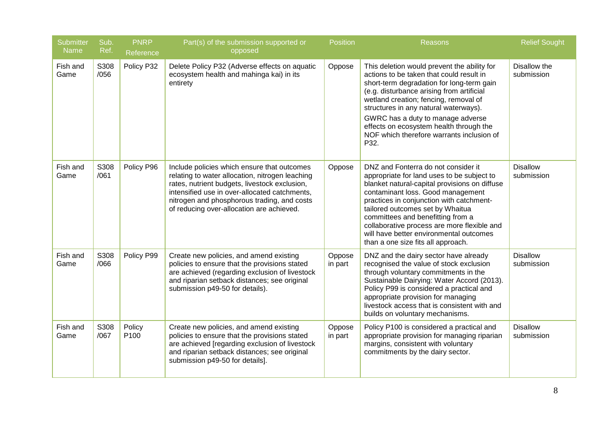| <b>Submitter</b><br><b>Name</b> | Sub.<br>Ref. | <b>PNRP</b><br>Reference | Part(s) of the submission supported or<br>opposed                                                                                                                                                                                                                                            | <b>Position</b>   | Reasons                                                                                                                                                                                                                                                                                                                                                                                                                      | <b>Relief Sought</b>          |
|---------------------------------|--------------|--------------------------|----------------------------------------------------------------------------------------------------------------------------------------------------------------------------------------------------------------------------------------------------------------------------------------------|-------------------|------------------------------------------------------------------------------------------------------------------------------------------------------------------------------------------------------------------------------------------------------------------------------------------------------------------------------------------------------------------------------------------------------------------------------|-------------------------------|
| Fish and<br>Game                | S308<br>/056 | Policy P32               | Delete Policy P32 (Adverse effects on aquatic<br>ecosystem health and mahinga kai) in its<br>entirety                                                                                                                                                                                        | Oppose            | This deletion would prevent the ability for<br>actions to be taken that could result in<br>short-term degradation for long-term gain<br>(e.g. disturbance arising from artificial<br>wetland creation; fencing, removal of<br>structures in any natural waterways).<br>GWRC has a duty to manage adverse<br>effects on ecosystem health through the<br>NOF which therefore warrants inclusion of<br>P32.                     | Disallow the<br>submission    |
| Fish and<br>Game                | S308<br>/061 | Policy P96               | Include policies which ensure that outcomes<br>relating to water allocation, nitrogen leaching<br>rates, nutrient budgets, livestock exclusion,<br>intensified use in over-allocated catchments,<br>nitrogen and phosphorous trading, and costs<br>of reducing over-allocation are achieved. | Oppose            | DNZ and Fonterra do not consider it<br>appropriate for land uses to be subject to<br>blanket natural-capital provisions on diffuse<br>contaminant loss. Good management<br>practices in conjunction with catchment-<br>tailored outcomes set by Whaitua<br>committees and benefitting from a<br>collaborative process are more flexible and<br>will have better environmental outcomes<br>than a one size fits all approach. | <b>Disallow</b><br>submission |
| Fish and<br>Game                | S308<br>/066 | Policy P99               | Create new policies, and amend existing<br>policies to ensure that the provisions stated<br>are achieved (regarding exclusion of livestock<br>and riparian setback distances; see original<br>submission p49-50 for details).                                                                | Oppose<br>in part | DNZ and the dairy sector have already<br>recognised the value of stock exclusion<br>through voluntary commitments in the<br>Sustainable Dairying: Water Accord (2013).<br>Policy P99 is considered a practical and<br>appropriate provision for managing<br>livestock access that is consistent with and<br>builds on voluntary mechanisms.                                                                                  | <b>Disallow</b><br>submission |
| Fish and<br>Game                | S308<br>/067 | Policy<br>P100           | Create new policies, and amend existing<br>policies to ensure that the provisions stated<br>are achieved [regarding exclusion of livestock<br>and riparian setback distances; see original<br>submission p49-50 for details].                                                                | Oppose<br>in part | Policy P100 is considered a practical and<br>appropriate provision for managing riparian<br>margins, consistent with voluntary<br>commitments by the dairy sector.                                                                                                                                                                                                                                                           | <b>Disallow</b><br>submission |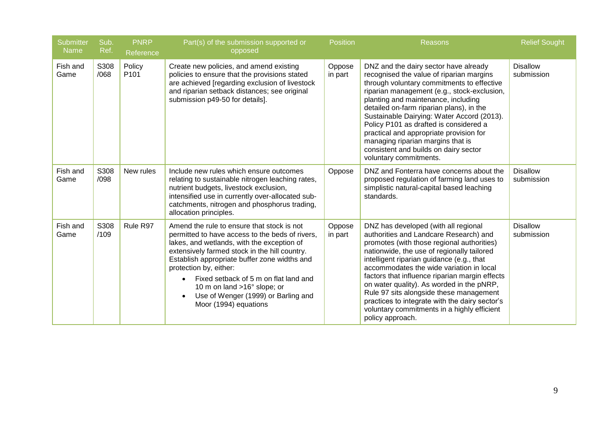| <b>Submitter</b><br><b>Name</b> | Sub.<br>Ref. | <b>PNRP</b><br>Reference   | Part(s) of the submission supported or<br>opposed                                                                                                                                                                                                                                                                                                                                                                                        | <b>Position</b>   | <b>Reasons</b>                                                                                                                                                                                                                                                                                                                                                                                                                                                                                                                     | <b>Relief Sought</b>          |
|---------------------------------|--------------|----------------------------|------------------------------------------------------------------------------------------------------------------------------------------------------------------------------------------------------------------------------------------------------------------------------------------------------------------------------------------------------------------------------------------------------------------------------------------|-------------------|------------------------------------------------------------------------------------------------------------------------------------------------------------------------------------------------------------------------------------------------------------------------------------------------------------------------------------------------------------------------------------------------------------------------------------------------------------------------------------------------------------------------------------|-------------------------------|
| Fish and<br>Game                | S308<br>/068 | Policy<br>P <sub>101</sub> | Create new policies, and amend existing<br>policies to ensure that the provisions stated<br>are achieved [regarding exclusion of livestock<br>and riparian setback distances; see original<br>submission p49-50 for details].                                                                                                                                                                                                            | Oppose<br>in part | DNZ and the dairy sector have already<br>recognised the value of riparian margins<br>through voluntary commitments to effective<br>riparian management (e.g., stock-exclusion,<br>planting and maintenance, including<br>detailed on-farm riparian plans), in the<br>Sustainable Dairying: Water Accord (2013).<br>Policy P101 as drafted is considered a<br>practical and appropriate provision for<br>managing riparian margins that is<br>consistent and builds on dairy sector<br>voluntary commitments.                       | <b>Disallow</b><br>submission |
| Fish and<br>Game                | S308<br>/098 | New rules                  | Include new rules which ensure outcomes<br>relating to sustainable nitrogen leaching rates,<br>nutrient budgets, livestock exclusion,<br>intensified use in currently over-allocated sub-<br>catchments, nitrogen and phosphorus trading,<br>allocation principles.                                                                                                                                                                      | Oppose            | DNZ and Fonterra have concerns about the<br>proposed regulation of farming land uses to<br>simplistic natural-capital based leaching<br>standards.                                                                                                                                                                                                                                                                                                                                                                                 | <b>Disallow</b><br>submission |
| Fish and<br>Game                | S308<br>/109 | Rule R97                   | Amend the rule to ensure that stock is not<br>permitted to have access to the beds of rivers,<br>lakes, and wetlands, with the exception of<br>extensively farmed stock in the hill country.<br>Establish appropriate buffer zone widths and<br>protection by, either:<br>Fixed setback of 5 m on flat land and<br>$\bullet$<br>10 m on land >16° slope; or<br>Use of Wenger (1999) or Barling and<br>$\bullet$<br>Moor (1994) equations | Oppose<br>in part | DNZ has developed (with all regional<br>authorities and Landcare Research) and<br>promotes (with those regional authorities)<br>nationwide, the use of regionally tailored<br>intelligent riparian guidance (e.g., that<br>accommodates the wide variation in local<br>factors that influence riparian margin effects<br>on water quality). As worded in the pNRP,<br>Rule 97 sits alongside these management<br>practices to integrate with the dairy sector's<br>voluntary commitments in a highly efficient<br>policy approach. | <b>Disallow</b><br>submission |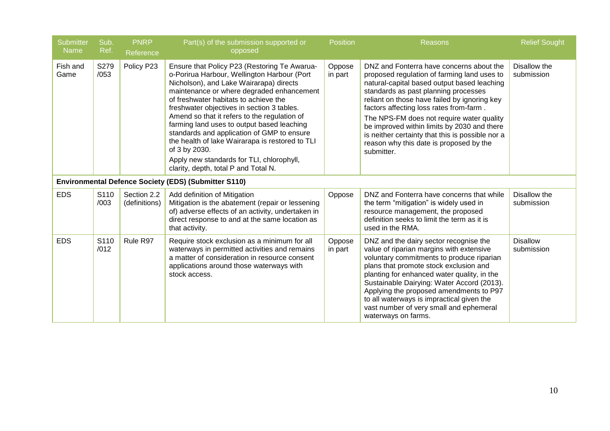| <b>Submitter</b><br><b>Name</b> | Sub.<br>Ref. | <b>PNRP</b><br>Reference     | Part(s) of the submission supported or<br>opposed                                                                                                                                                                                                                                                                                                                                                                                                                                                                                                                               | <b>Position</b>   | Reasons                                                                                                                                                                                                                                                                                                                                                                                                                                                                            | <b>Relief Sought</b>          |
|---------------------------------|--------------|------------------------------|---------------------------------------------------------------------------------------------------------------------------------------------------------------------------------------------------------------------------------------------------------------------------------------------------------------------------------------------------------------------------------------------------------------------------------------------------------------------------------------------------------------------------------------------------------------------------------|-------------------|------------------------------------------------------------------------------------------------------------------------------------------------------------------------------------------------------------------------------------------------------------------------------------------------------------------------------------------------------------------------------------------------------------------------------------------------------------------------------------|-------------------------------|
| Fish and<br>Game                | S279<br>/053 | Policy P23                   | Ensure that Policy P23 (Restoring Te Awarua-<br>o-Porirua Harbour, Wellington Harbour (Port<br>Nicholson), and Lake Wairarapa) directs<br>maintenance or where degraded enhancement<br>of freshwater habitats to achieve the<br>freshwater objectives in section 3 tables.<br>Amend so that it refers to the regulation of<br>farming land uses to output based leaching<br>standards and application of GMP to ensure<br>the health of lake Wairarapa is restored to TLI<br>of 3 by 2030.<br>Apply new standards for TLI, chlorophyll,<br>clarity, depth, total P and Total N. | Oppose<br>in part | DNZ and Fonterra have concerns about the<br>proposed regulation of farming land uses to<br>natural-capital based output based leaching<br>standards as past planning processes<br>reliant on those have failed by ignoring key<br>factors affecting loss rates from-farm.<br>The NPS-FM does not require water quality<br>be improved within limits by 2030 and there<br>is neither certainty that this is possible nor a<br>reason why this date is proposed by the<br>submitter. | Disallow the<br>submission    |
|                                 |              |                              | <b>Environmental Defence Society (EDS) (Submitter S110)</b>                                                                                                                                                                                                                                                                                                                                                                                                                                                                                                                     |                   |                                                                                                                                                                                                                                                                                                                                                                                                                                                                                    |                               |
| <b>EDS</b>                      | S110<br>/003 | Section 2.2<br>(definitions) | Add definition of Mitigation<br>Mitigation is the abatement (repair or lessening<br>of) adverse effects of an activity, undertaken in<br>direct response to and at the same location as<br>that activity.                                                                                                                                                                                                                                                                                                                                                                       | Oppose            | DNZ and Fonterra have concerns that while<br>the term "mitigation" is widely used in<br>resource management, the proposed<br>definition seeks to limit the term as it is<br>used in the RMA.                                                                                                                                                                                                                                                                                       | Disallow the<br>submission    |
| <b>EDS</b>                      | S110<br>/012 | Rule R97                     | Require stock exclusion as a minimum for all<br>waterways in permitted activities and remains<br>a matter of consideration in resource consent<br>applications around those waterways with<br>stock access.                                                                                                                                                                                                                                                                                                                                                                     | Oppose<br>in part | DNZ and the dairy sector recognise the<br>value of riparian margins with extensive<br>voluntary commitments to produce riparian<br>plans that promote stock exclusion and<br>planting for enhanced water quality, in the<br>Sustainable Dairying: Water Accord (2013).<br>Applying the proposed amendments to P97<br>to all waterways is impractical given the<br>vast number of very small and ephemeral<br>waterways on farms.                                                   | <b>Disallow</b><br>submission |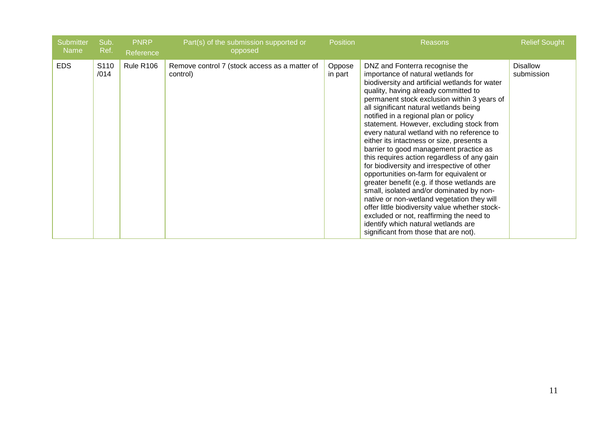| <b>Submitter</b><br>Name | Sub.<br>Ref. | <b>PNRP</b><br>Reference | Part(s) of the submission supported or<br>opposed         | <b>Position</b>   | <b>Reasons</b>                                                                                                                                                                                                                                                                                                                                                                                                                                                                                                                                                                                                                                                                                                                                                                                                                                                                                                                                   | <b>Relief Sought</b>          |
|--------------------------|--------------|--------------------------|-----------------------------------------------------------|-------------------|--------------------------------------------------------------------------------------------------------------------------------------------------------------------------------------------------------------------------------------------------------------------------------------------------------------------------------------------------------------------------------------------------------------------------------------------------------------------------------------------------------------------------------------------------------------------------------------------------------------------------------------------------------------------------------------------------------------------------------------------------------------------------------------------------------------------------------------------------------------------------------------------------------------------------------------------------|-------------------------------|
| <b>EDS</b>               | S110<br>/014 | Rule R106                | Remove control 7 (stock access as a matter of<br>control) | Oppose<br>in part | DNZ and Fonterra recognise the<br>importance of natural wetlands for<br>biodiversity and artificial wetlands for water<br>quality, having already committed to<br>permanent stock exclusion within 3 years of<br>all significant natural wetlands being<br>notified in a regional plan or policy<br>statement. However, excluding stock from<br>every natural wetland with no reference to<br>either its intactness or size, presents a<br>barrier to good management practice as<br>this requires action regardless of any gain<br>for biodiversity and irrespective of other<br>opportunities on-farm for equivalent or<br>greater benefit (e.g. if those wetlands are<br>small, isolated and/or dominated by non-<br>native or non-wetland vegetation they will<br>offer little biodiversity value whether stock-<br>excluded or not, reaffirming the need to<br>identify which natural wetlands are<br>significant from those that are not). | <b>Disallow</b><br>submission |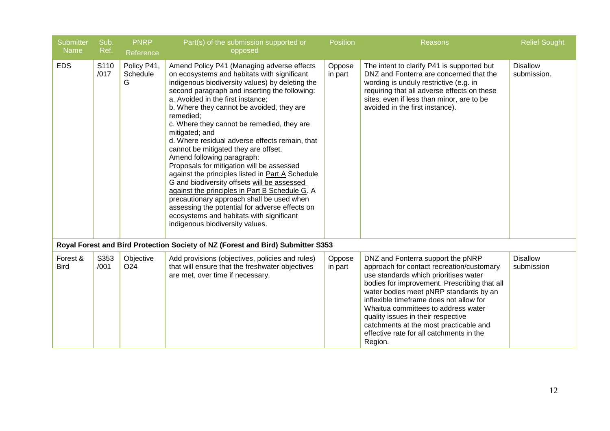| <b>Submitter</b><br><b>Name</b> | Sub.<br>Ref. | <b>PNRP</b><br>Reference     | Part(s) of the submission supported or<br>opposed                                                                                                                                                                                                                                                                                                                                                                                                                                                                                                                                                                                                                                                                                                                                                                                                                    | <b>Position</b>   | <b>Reasons</b>                                                                                                                                                                                                                                                                                                                                                                                                                             | <b>Relief Sought</b>           |
|---------------------------------|--------------|------------------------------|----------------------------------------------------------------------------------------------------------------------------------------------------------------------------------------------------------------------------------------------------------------------------------------------------------------------------------------------------------------------------------------------------------------------------------------------------------------------------------------------------------------------------------------------------------------------------------------------------------------------------------------------------------------------------------------------------------------------------------------------------------------------------------------------------------------------------------------------------------------------|-------------------|--------------------------------------------------------------------------------------------------------------------------------------------------------------------------------------------------------------------------------------------------------------------------------------------------------------------------------------------------------------------------------------------------------------------------------------------|--------------------------------|
| <b>EDS</b>                      | S110<br>/017 | Policy P41,<br>Schedule<br>G | Amend Policy P41 (Managing adverse effects<br>on ecosystems and habitats with significant<br>indigenous biodiversity values) by deleting the<br>second paragraph and inserting the following:<br>a. Avoided in the first instance;<br>b. Where they cannot be avoided, they are<br>remedied;<br>c. Where they cannot be remedied, they are<br>mitigated; and<br>d. Where residual adverse effects remain, that<br>cannot be mitigated they are offset.<br>Amend following paragraph:<br>Proposals for mitigation will be assessed<br>against the principles listed in Part A Schedule<br>G and biodiversity offsets will be assessed<br>against the principles in Part B Schedule G. A<br>precautionary approach shall be used when<br>assessing the potential for adverse effects on<br>ecosystems and habitats with significant<br>indigenous biodiversity values. | Oppose<br>in part | The intent to clarify P41 is supported but<br>DNZ and Fonterra are concerned that the<br>wording is unduly restrictive (e.g. in<br>requiring that all adverse effects on these<br>sites, even if less than minor, are to be<br>avoided in the first instance).                                                                                                                                                                             | <b>Disallow</b><br>submission. |
|                                 |              |                              | Royal Forest and Bird Protection Society of NZ (Forest and Bird) Submitter S353                                                                                                                                                                                                                                                                                                                                                                                                                                                                                                                                                                                                                                                                                                                                                                                      |                   |                                                                                                                                                                                                                                                                                                                                                                                                                                            |                                |
| Forest &<br><b>Bird</b>         | S353<br>/001 | Objective<br>O <sub>24</sub> | Add provisions (objectives, policies and rules)<br>that will ensure that the freshwater objectives<br>are met, over time if necessary.                                                                                                                                                                                                                                                                                                                                                                                                                                                                                                                                                                                                                                                                                                                               | Oppose<br>in part | DNZ and Fonterra support the pNRP<br>approach for contact recreation/customary<br>use standards which prioritises water<br>bodies for improvement. Prescribing that all<br>water bodies meet pNRP standards by an<br>inflexible timeframe does not allow for<br>Whaitua committees to address water<br>quality issues in their respective<br>catchments at the most practicable and<br>effective rate for all catchments in the<br>Region. | <b>Disallow</b><br>submission  |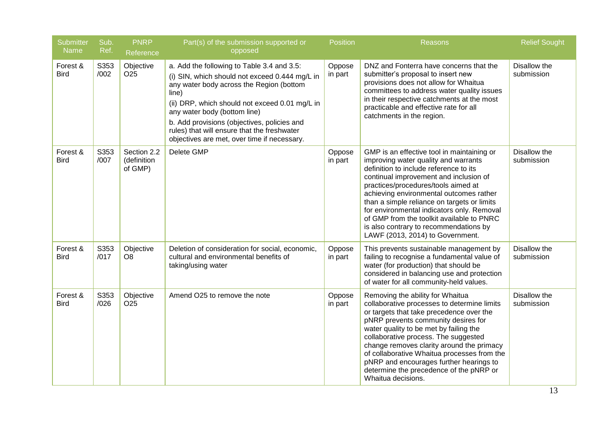| <b>Submitter</b><br><b>Name</b> | Sub.<br>Ref. | <b>PNRP</b><br>Reference              | Part(s) of the submission supported or<br>opposed                                                                                                                                                                                                                                                                                                                                | <b>Position</b>   | Reasons                                                                                                                                                                                                                                                                                                                                                                                                                                                                          | <b>Relief Sought</b>       |
|---------------------------------|--------------|---------------------------------------|----------------------------------------------------------------------------------------------------------------------------------------------------------------------------------------------------------------------------------------------------------------------------------------------------------------------------------------------------------------------------------|-------------------|----------------------------------------------------------------------------------------------------------------------------------------------------------------------------------------------------------------------------------------------------------------------------------------------------------------------------------------------------------------------------------------------------------------------------------------------------------------------------------|----------------------------|
| Forest &<br><b>Bird</b>         | S353<br>/002 | Objective<br>O <sub>25</sub>          | a. Add the following to Table 3.4 and 3.5:<br>(i) SIN, which should not exceed 0.444 mg/L in<br>any water body across the Region (bottom<br>line)<br>(ii) DRP, which should not exceed 0.01 mg/L in<br>any water body (bottom line)<br>b. Add provisions (objectives, policies and<br>rules) that will ensure that the freshwater<br>objectives are met, over time if necessary. | Oppose<br>in part | DNZ and Fonterra have concerns that the<br>submitter's proposal to insert new<br>provisions does not allow for Whaitua<br>committees to address water quality issues<br>in their respective catchments at the most<br>practicable and effective rate for all<br>catchments in the region.                                                                                                                                                                                        | Disallow the<br>submission |
| Forest &<br><b>Bird</b>         | S353<br>/007 | Section 2.2<br>(definition<br>of GMP) | Delete GMP                                                                                                                                                                                                                                                                                                                                                                       | Oppose<br>in part | GMP is an effective tool in maintaining or<br>improving water quality and warrants<br>definition to include reference to its<br>continual improvement and inclusion of<br>practices/procedures/tools aimed at<br>achieving environmental outcomes rather<br>than a simple reliance on targets or limits<br>for environmental indicators only. Removal<br>of GMP from the toolkit available to PNRC<br>is also contrary to recommendations by<br>LAWF (2013, 2014) to Government. | Disallow the<br>submission |
| Forest &<br><b>Bird</b>         | S353<br>/017 | Objective<br>O <sub>8</sub>           | Deletion of consideration for social, economic,<br>cultural and environmental benefits of<br>taking/using water                                                                                                                                                                                                                                                                  | Oppose<br>in part | This prevents sustainable management by<br>failing to recognise a fundamental value of<br>water (for production) that should be<br>considered in balancing use and protection<br>of water for all community-held values.                                                                                                                                                                                                                                                         | Disallow the<br>submission |
| Forest &<br><b>Bird</b>         | S353<br>/026 | Objective<br>O <sub>25</sub>          | Amend O25 to remove the note                                                                                                                                                                                                                                                                                                                                                     | Oppose<br>in part | Removing the ability for Whaitua<br>collaborative processes to determine limits<br>or targets that take precedence over the<br>pNRP prevents community desires for<br>water quality to be met by failing the<br>collaborative process. The suggested<br>change removes clarity around the primacy<br>of collaborative Whaitua processes from the<br>pNRP and encourages further hearings to<br>determine the precedence of the pNRP or<br>Whaitua decisions.                     | Disallow the<br>submission |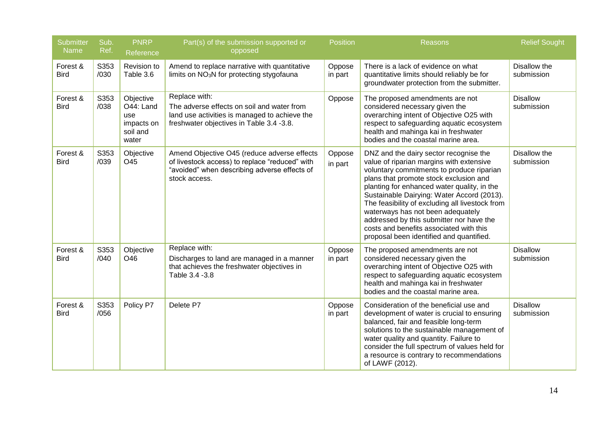| <b>Submitter</b><br><b>Name</b> | Sub.<br>Ref. | <b>PNRP</b><br>Reference                                         | Part(s) of the submission supported or<br>opposed                                                                                                              | <b>Position</b>   | <b>Reasons</b>                                                                                                                                                                                                                                                                                                                                                                                                                                                                                    | <b>Relief Sought</b>          |
|---------------------------------|--------------|------------------------------------------------------------------|----------------------------------------------------------------------------------------------------------------------------------------------------------------|-------------------|---------------------------------------------------------------------------------------------------------------------------------------------------------------------------------------------------------------------------------------------------------------------------------------------------------------------------------------------------------------------------------------------------------------------------------------------------------------------------------------------------|-------------------------------|
| Forest &<br><b>Bird</b>         | S353<br>/030 | Revision to<br>Table 3.6                                         | Amend to replace narrative with quantitative<br>limits on NO <sub>3</sub> N for protecting stygofauna                                                          | Oppose<br>in part | There is a lack of evidence on what<br>quantitative limits should reliably be for<br>groundwater protection from the submitter.                                                                                                                                                                                                                                                                                                                                                                   | Disallow the<br>submission    |
| Forest &<br><b>Bird</b>         | S353<br>/038 | Objective<br>O44: Land<br>use<br>impacts on<br>soil and<br>water | Replace with:<br>The adverse effects on soil and water from<br>land use activities is managed to achieve the<br>freshwater objectives in Table 3.4 -3.8.       | Oppose            | The proposed amendments are not<br>considered necessary given the<br>overarching intent of Objective O25 with<br>respect to safeguarding aquatic ecosystem<br>health and mahinga kai in freshwater<br>bodies and the coastal marine area.                                                                                                                                                                                                                                                         | <b>Disallow</b><br>submission |
| Forest &<br><b>Bird</b>         | S353<br>/039 | Objective<br>O45                                                 | Amend Objective O45 (reduce adverse effects<br>of livestock access) to replace "reduced" with<br>"avoided" when describing adverse effects of<br>stock access. | Oppose<br>in part | DNZ and the dairy sector recognise the<br>value of riparian margins with extensive<br>voluntary commitments to produce riparian<br>plans that promote stock exclusion and<br>planting for enhanced water quality, in the<br>Sustainable Dairying: Water Accord (2013).<br>The feasibility of excluding all livestock from<br>waterways has not been adequately<br>addressed by this submitter nor have the<br>costs and benefits associated with this<br>proposal been identified and quantified. | Disallow the<br>submission    |
| Forest &<br><b>Bird</b>         | S353<br>/040 | Objective<br>O46                                                 | Replace with:<br>Discharges to land are managed in a manner<br>that achieves the freshwater objectives in<br>Table 3.4 - 3.8                                   | Oppose<br>in part | The proposed amendments are not<br>considered necessary given the<br>overarching intent of Objective O25 with<br>respect to safeguarding aquatic ecosystem<br>health and mahinga kai in freshwater<br>bodies and the coastal marine area.                                                                                                                                                                                                                                                         | <b>Disallow</b><br>submission |
| Forest &<br><b>Bird</b>         | S353<br>/056 | Policy P7                                                        | Delete P7                                                                                                                                                      | Oppose<br>in part | Consideration of the beneficial use and<br>development of water is crucial to ensuring<br>balanced, fair and feasible long-term<br>solutions to the sustainable management of<br>water quality and quantity. Failure to<br>consider the full spectrum of values held for<br>a resource is contrary to recommendations<br>of LAWF (2012).                                                                                                                                                          | <b>Disallow</b><br>submission |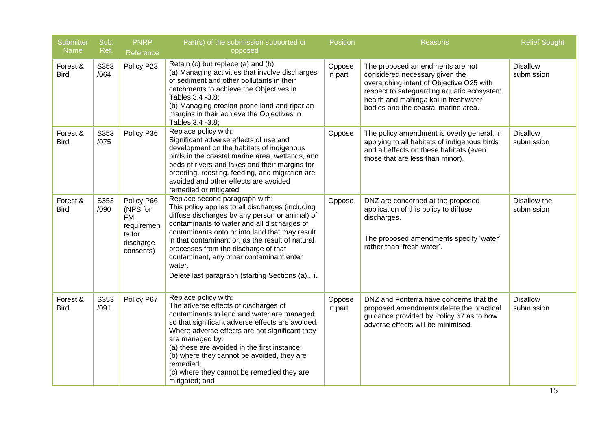| <b>Submitter</b><br>Name | Sub.<br>Ref. | <b>PNRP</b>                                                                           | Part(s) of the submission supported or<br>opposed                                                                                                                                                                                                                                                                                                                                                                                         | <b>Position</b>   | <b>Reasons</b>                                                                                                                                                                                                                            | <b>Relief Sought</b>          |
|--------------------------|--------------|---------------------------------------------------------------------------------------|-------------------------------------------------------------------------------------------------------------------------------------------------------------------------------------------------------------------------------------------------------------------------------------------------------------------------------------------------------------------------------------------------------------------------------------------|-------------------|-------------------------------------------------------------------------------------------------------------------------------------------------------------------------------------------------------------------------------------------|-------------------------------|
| Forest &<br><b>Bird</b>  | S353<br>/064 | Reference<br>Policy P23                                                               | Retain (c) but replace (a) and (b)<br>(a) Managing activities that involve discharges<br>of sediment and other pollutants in their<br>catchments to achieve the Objectives in<br>Tables 3.4 - 3.8;<br>(b) Managing erosion prone land and riparian<br>margins in their achieve the Objectives in<br>Tables 3.4 - 3.8;                                                                                                                     | Oppose<br>in part | The proposed amendments are not<br>considered necessary given the<br>overarching intent of Objective O25 with<br>respect to safeguarding aquatic ecosystem<br>health and mahinga kai in freshwater<br>bodies and the coastal marine area. | <b>Disallow</b><br>submission |
| Forest &<br><b>Bird</b>  | S353<br>/075 | Policy P36                                                                            | Replace policy with:<br>Significant adverse effects of use and<br>development on the habitats of indigenous<br>birds in the coastal marine area, wetlands, and<br>beds of rivers and lakes and their margins for<br>breeding, roosting, feeding, and migration are<br>avoided and other effects are avoided<br>remedied or mitigated.                                                                                                     | Oppose            | The policy amendment is overly general, in<br>applying to all habitats of indigenous birds<br>and all effects on these habitats (even<br>those that are less than minor).                                                                 | <b>Disallow</b><br>submission |
| Forest &<br><b>Bird</b>  | S353<br>/090 | Policy P66<br>(NPS for<br><b>FM</b><br>requiremen<br>ts for<br>discharge<br>consents) | Replace second paragraph with:<br>This policy applies to all discharges (including<br>diffuse discharges by any person or animal) of<br>contaminants to water and all discharges of<br>contaminants onto or into land that may result<br>in that contaminant or, as the result of natural<br>processes from the discharge of that<br>contaminant, any other contaminant enter<br>water.<br>Delete last paragraph (starting Sections (a)). | Oppose            | DNZ are concerned at the proposed<br>application of this policy to diffuse<br>discharges.<br>The proposed amendments specify 'water'<br>rather than 'fresh water'.                                                                        | Disallow the<br>submission    |
| Forest &<br><b>Bird</b>  | S353<br>/091 | Policy P67                                                                            | Replace policy with:<br>The adverse effects of discharges of<br>contaminants to land and water are managed<br>so that significant adverse effects are avoided.<br>Where adverse effects are not significant they<br>are managed by:<br>(a) these are avoided in the first instance;<br>(b) where they cannot be avoided, they are<br>remedied;<br>(c) where they cannot be remedied they are<br>mitigated; and                            | Oppose<br>in part | DNZ and Fonterra have concerns that the<br>proposed amendments delete the practical<br>guidance provided by Policy 67 as to how<br>adverse effects will be minimised.                                                                     | <b>Disallow</b><br>submission |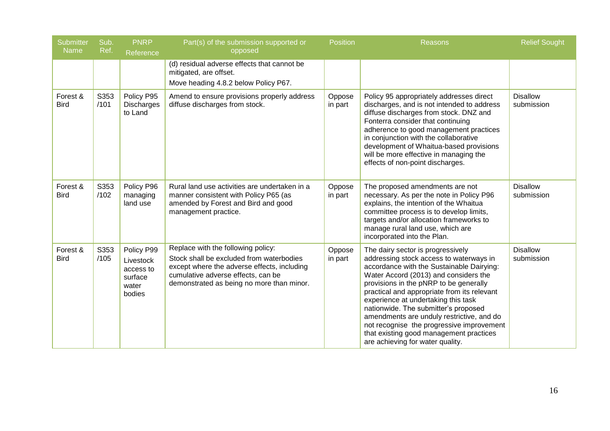| <b>Submitter</b><br><b>Name</b> | Sub.<br>Ref. | <b>PNRP</b><br>Reference                                           | Part(s) of the submission supported or<br>opposed                                                                                                                                                                | <b>Position</b>   | Reasons                                                                                                                                                                                                                                                                                                                                                                                                                                                                                                             | <b>Relief Sought</b>          |
|---------------------------------|--------------|--------------------------------------------------------------------|------------------------------------------------------------------------------------------------------------------------------------------------------------------------------------------------------------------|-------------------|---------------------------------------------------------------------------------------------------------------------------------------------------------------------------------------------------------------------------------------------------------------------------------------------------------------------------------------------------------------------------------------------------------------------------------------------------------------------------------------------------------------------|-------------------------------|
|                                 |              |                                                                    | (d) residual adverse effects that cannot be<br>mitigated, are offset.<br>Move heading 4.8.2 below Policy P67.                                                                                                    |                   |                                                                                                                                                                                                                                                                                                                                                                                                                                                                                                                     |                               |
| Forest &<br><b>Bird</b>         | S353<br>/101 | Policy P95<br>Discharges<br>to Land                                | Amend to ensure provisions properly address<br>diffuse discharges from stock.                                                                                                                                    | Oppose<br>in part | Policy 95 appropriately addresses direct<br>discharges, and is not intended to address<br>diffuse discharges from stock. DNZ and<br>Fonterra consider that continuing<br>adherence to good management practices<br>in conjunction with the collaborative<br>development of Whaitua-based provisions<br>will be more effective in managing the<br>effects of non-point discharges.                                                                                                                                   | <b>Disallow</b><br>submission |
| Forest &<br><b>Bird</b>         | S353<br>/102 | Policy P96<br>managing<br>land use                                 | Rural land use activities are undertaken in a<br>manner consistent with Policy P65 (as<br>amended by Forest and Bird and good<br>management practice.                                                            | Oppose<br>in part | The proposed amendments are not<br>necessary. As per the note in Policy P96<br>explains, the intention of the Whaitua<br>committee process is to develop limits,<br>targets and/or allocation frameworks to<br>manage rural land use, which are<br>incorporated into the Plan.                                                                                                                                                                                                                                      | <b>Disallow</b><br>submission |
| Forest &<br><b>Bird</b>         | S353<br>/105 | Policy P99<br>Livestock<br>access to<br>surface<br>water<br>bodies | Replace with the following policy:<br>Stock shall be excluded from waterbodies<br>except where the adverse effects, including<br>cumulative adverse effects, can be<br>demonstrated as being no more than minor. | Oppose<br>in part | The dairy sector is progressively<br>addressing stock access to waterways in<br>accordance with the Sustainable Dairying:<br>Water Accord (2013) and considers the<br>provisions in the pNRP to be generally<br>practical and appropriate from its relevant<br>experience at undertaking this task<br>nationwide. The submitter's proposed<br>amendments are unduly restrictive, and do<br>not recognise the progressive improvement<br>that existing good management practices<br>are achieving for water quality. | <b>Disallow</b><br>submission |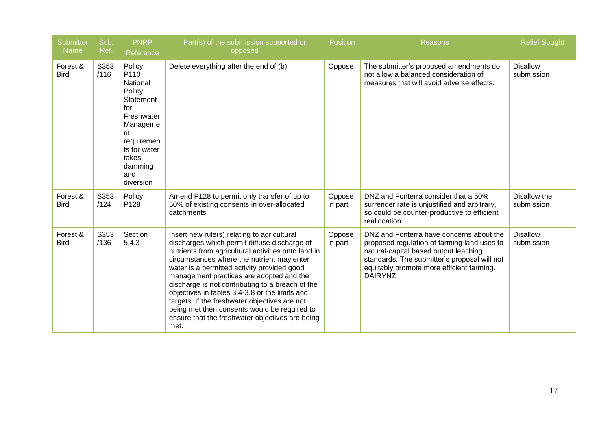| <b>Submitter</b><br><b>Name</b> | Sub.<br>Ref. | <b>PNRP</b><br>Reference                                                                                                                                        | Part(s) of the submission supported or<br>opposed                                                                                                                                                                                                                                                                                                                                                                                                                                                                                                             | <b>Position</b>   | <b>Reasons</b>                                                                                                                                                                                                                                  | <b>Relief Sought</b>          |
|---------------------------------|--------------|-----------------------------------------------------------------------------------------------------------------------------------------------------------------|---------------------------------------------------------------------------------------------------------------------------------------------------------------------------------------------------------------------------------------------------------------------------------------------------------------------------------------------------------------------------------------------------------------------------------------------------------------------------------------------------------------------------------------------------------------|-------------------|-------------------------------------------------------------------------------------------------------------------------------------------------------------------------------------------------------------------------------------------------|-------------------------------|
| Forest &<br><b>Bird</b>         | S353<br>/116 | Policy<br>P110<br>National<br>Policy<br>Statement<br>for<br>Freshwater<br>Manageme<br>nt<br>requiremen<br>ts for water<br>takes,<br>damming<br>and<br>diversion | Delete everything after the end of (b)                                                                                                                                                                                                                                                                                                                                                                                                                                                                                                                        | Oppose            | The submitter's proposed amendments do<br>not allow a balanced consideration of<br>measures that will avoid adverse effects.                                                                                                                    | <b>Disallow</b><br>submission |
| Forest &<br><b>Bird</b>         | S353<br>/124 | Policy<br>P128                                                                                                                                                  | Amend P128 to permit only transfer of up to<br>50% of existing consents in over-allocated<br>catchments                                                                                                                                                                                                                                                                                                                                                                                                                                                       | Oppose<br>in part | DNZ and Fonterra consider that a 50%<br>surrender rate is unjustified and arbitrary,<br>so could be counter-productive to efficient<br>reallocation.                                                                                            | Disallow the<br>submission    |
| Forest &<br><b>Bird</b>         | S353<br>/136 | Section<br>5.4.3                                                                                                                                                | Insert new rule(s) relating to agricultural<br>discharges which permit diffuse discharge of<br>nutrients from agricultural activities onto land in<br>circumstances where the nutrient may enter<br>water is a permitted activity provided good<br>management practices are adopted and the<br>discharge is not contributing to a breach of the<br>objectives in tables 3.4-3.8 or the limits and<br>targets. If the freshwater objectives are not<br>being met then consents would be required to<br>ensure that the freshwater objectives are being<br>met. | Oppose<br>in part | DNZ and Fonterra have concerns about the<br>proposed regulation of farming land uses to<br>natural-capital based output leaching<br>standards. The submitter's proposal will not<br>equitably promote more efficient farming.<br><b>DAIRYNZ</b> | <b>Disallow</b><br>submission |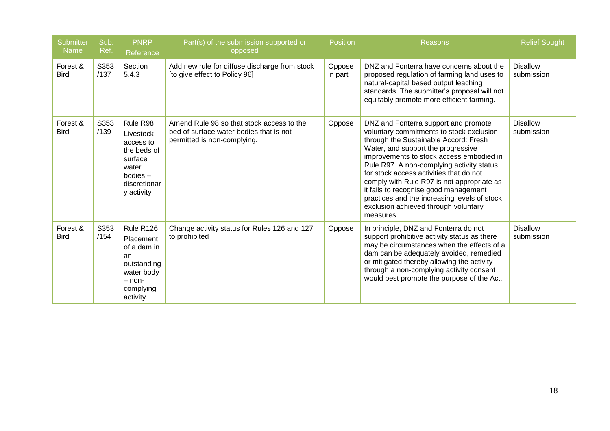| <b>Submitter</b><br><b>Name</b> | Sub.<br>Ref. | <b>PNRP</b><br>Reference                                                                                             | Part(s) of the submission supported or<br>opposed                                                                   | <b>Position</b>   | <b>Reasons</b>                                                                                                                                                                                                                                                                                                                                                                                                                                                                                  | <b>Relief Sought</b>          |
|---------------------------------|--------------|----------------------------------------------------------------------------------------------------------------------|---------------------------------------------------------------------------------------------------------------------|-------------------|-------------------------------------------------------------------------------------------------------------------------------------------------------------------------------------------------------------------------------------------------------------------------------------------------------------------------------------------------------------------------------------------------------------------------------------------------------------------------------------------------|-------------------------------|
| Forest &<br><b>Bird</b>         | S353<br>/137 | Section<br>5.4.3                                                                                                     | Add new rule for diffuse discharge from stock<br>[to give effect to Policy 96]                                      | Oppose<br>in part | DNZ and Fonterra have concerns about the<br>proposed regulation of farming land uses to<br>natural-capital based output leaching<br>standards. The submitter's proposal will not<br>equitably promote more efficient farming.                                                                                                                                                                                                                                                                   | <b>Disallow</b><br>submission |
| Forest &<br><b>Bird</b>         | S353<br>/139 | Rule R98<br>Livestock<br>access to<br>the beds of<br>surface<br>water<br>$b$ odies $-$<br>discretionar<br>y activity | Amend Rule 98 so that stock access to the<br>bed of surface water bodies that is not<br>permitted is non-complying. | Oppose            | DNZ and Fonterra support and promote<br>voluntary commitments to stock exclusion<br>through the Sustainable Accord: Fresh<br>Water, and support the progressive<br>improvements to stock access embodied in<br>Rule R97. A non-complying activity status<br>for stock access activities that do not<br>comply with Rule R97 is not appropriate as<br>it fails to recognise good management<br>practices and the increasing levels of stock<br>exclusion achieved through voluntary<br>measures. | <b>Disallow</b><br>submission |
| Forest &<br><b>Bird</b>         | S353<br>/154 | Rule R126<br>Placement<br>of a dam in<br>an<br>outstanding<br>water body<br>$-$ non-<br>complying<br>activity        | Change activity status for Rules 126 and 127<br>to prohibited                                                       | Oppose            | In principle, DNZ and Fonterra do not<br>support prohibitive activity status as there<br>may be circumstances when the effects of a<br>dam can be adequately avoided, remedied<br>or mitigated thereby allowing the activity<br>through a non-complying activity consent<br>would best promote the purpose of the Act.                                                                                                                                                                          | <b>Disallow</b><br>submission |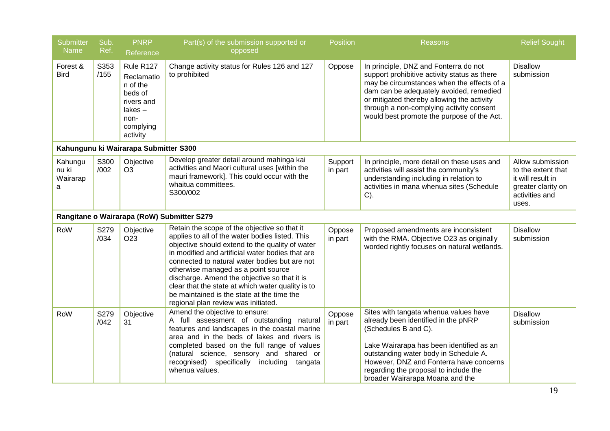| <b>Submitter</b><br>Name          | Sub.<br>Ref. | <b>PNRP</b><br>Reference                                                                                | Part(s) of the submission supported or<br>opposed                                                                                                                                                                                                                                                                                                                                                                                                                                        | <b>Position</b>    | Reasons                                                                                                                                                                                                                                                                                                                | <b>Relief Sought</b>                                                                                         |
|-----------------------------------|--------------|---------------------------------------------------------------------------------------------------------|------------------------------------------------------------------------------------------------------------------------------------------------------------------------------------------------------------------------------------------------------------------------------------------------------------------------------------------------------------------------------------------------------------------------------------------------------------------------------------------|--------------------|------------------------------------------------------------------------------------------------------------------------------------------------------------------------------------------------------------------------------------------------------------------------------------------------------------------------|--------------------------------------------------------------------------------------------------------------|
| Forest &<br><b>Bird</b>           | S353<br>/155 | Rule R127<br>Reclamatio<br>n of the<br>beds of<br>rivers and<br>lakes-<br>non-<br>complying<br>activity | Change activity status for Rules 126 and 127<br>to prohibited                                                                                                                                                                                                                                                                                                                                                                                                                            | Oppose             | In principle, DNZ and Fonterra do not<br>support prohibitive activity status as there<br>may be circumstances when the effects of a<br>dam can be adequately avoided, remedied<br>or mitigated thereby allowing the activity<br>through a non-complying activity consent<br>would best promote the purpose of the Act. | <b>Disallow</b><br>submission                                                                                |
|                                   |              | Kahungunu ki Wairarapa Submitter S300                                                                   |                                                                                                                                                                                                                                                                                                                                                                                                                                                                                          |                    |                                                                                                                                                                                                                                                                                                                        |                                                                                                              |
| Kahungu<br>nu ki<br>Wairarap<br>a | S300<br>/002 | Objective<br>O <sub>3</sub>                                                                             | Develop greater detail around mahinga kai<br>activities and Maori cultural uses [within the<br>mauri framework]. This could occur with the<br>whaitua committees.<br>S300/002                                                                                                                                                                                                                                                                                                            | Support<br>in part | In principle, more detail on these uses and<br>activities will assist the community's<br>understanding including in relation to<br>activities in mana whenua sites (Schedule<br>$C$ ).                                                                                                                                 | Allow submission<br>to the extent that<br>it will result in<br>greater clarity on<br>activities and<br>uses. |
|                                   |              |                                                                                                         | Rangitane o Wairarapa (RoW) Submitter S279                                                                                                                                                                                                                                                                                                                                                                                                                                               |                    |                                                                                                                                                                                                                                                                                                                        |                                                                                                              |
| RoW                               | S279<br>/034 | Objective<br>O <sub>23</sub>                                                                            | Retain the scope of the objective so that it<br>applies to all of the water bodies listed. This<br>objective should extend to the quality of water<br>in modified and artificial water bodies that are<br>connected to natural water bodies but are not<br>otherwise managed as a point source<br>discharge. Amend the objective so that it is<br>clear that the state at which water quality is to<br>be maintained is the state at the time the<br>regional plan review was initiated. | Oppose<br>in part  | Proposed amendments are inconsistent<br>with the RMA. Objective O23 as originally<br>worded rightly focuses on natural wetlands.                                                                                                                                                                                       | <b>Disallow</b><br>submission                                                                                |
| RoW                               | S279<br>/042 | Objective<br>31                                                                                         | Amend the objective to ensure:<br>A full assessment of outstanding natural<br>features and landscapes in the coastal marine<br>area and in the beds of lakes and rivers is<br>completed based on the full range of values<br>(natural science, sensory and shared or<br>recognised) specifically including<br>tangata<br>whenua values.                                                                                                                                                  | Oppose<br>in part  | Sites with tangata whenua values have<br>already been identified in the pNRP<br>(Schedules B and C).<br>Lake Wairarapa has been identified as an<br>outstanding water body in Schedule A.<br>However, DNZ and Fonterra have concerns<br>regarding the proposal to include the<br>broader Wairarapa Moana and the       | <b>Disallow</b><br>submission                                                                                |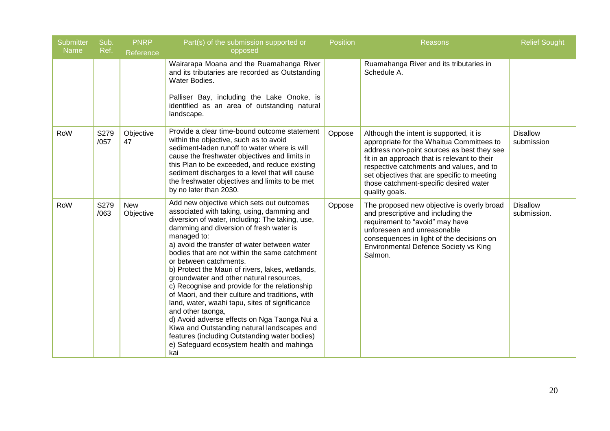| <b>Submitter</b><br><b>Name</b> | Sub.<br>Ref. | <b>PNRP</b><br>Reference | Part(s) of the submission supported or<br>opposed                                                                                                                                                                                                                                                                                                                                                                                                                                                                                                                                                                                                                                                                                                                                                               | <b>Position</b> | Reasons                                                                                                                                                                                                                                                                                                                                   | <b>Relief Sought</b>           |
|---------------------------------|--------------|--------------------------|-----------------------------------------------------------------------------------------------------------------------------------------------------------------------------------------------------------------------------------------------------------------------------------------------------------------------------------------------------------------------------------------------------------------------------------------------------------------------------------------------------------------------------------------------------------------------------------------------------------------------------------------------------------------------------------------------------------------------------------------------------------------------------------------------------------------|-----------------|-------------------------------------------------------------------------------------------------------------------------------------------------------------------------------------------------------------------------------------------------------------------------------------------------------------------------------------------|--------------------------------|
|                                 |              |                          | Wairarapa Moana and the Ruamahanga River<br>and its tributaries are recorded as Outstanding<br>Water Bodies.<br>Palliser Bay, including the Lake Onoke, is<br>identified as an area of outstanding natural<br>landscape.                                                                                                                                                                                                                                                                                                                                                                                                                                                                                                                                                                                        |                 | Ruamahanga River and its tributaries in<br>Schedule A.                                                                                                                                                                                                                                                                                    |                                |
| RoW                             | S279<br>/057 | Objective<br>47          | Provide a clear time-bound outcome statement<br>within the objective, such as to avoid<br>sediment-laden runoff to water where is will<br>cause the freshwater objectives and limits in<br>this Plan to be exceeded, and reduce existing<br>sediment discharges to a level that will cause<br>the freshwater objectives and limits to be met<br>by no later than 2030.                                                                                                                                                                                                                                                                                                                                                                                                                                          | Oppose          | Although the intent is supported, it is<br>appropriate for the Whaitua Committees to<br>address non-point sources as best they see<br>fit in an approach that is relevant to their<br>respective catchments and values, and to<br>set objectives that are specific to meeting<br>those catchment-specific desired water<br>quality goals. | <b>Disallow</b><br>submission  |
| RoW                             | S279<br>/063 | <b>New</b><br>Objective  | Add new objective which sets out outcomes<br>associated with taking, using, damming and<br>diversion of water, including: The taking, use,<br>damming and diversion of fresh water is<br>managed to:<br>a) avoid the transfer of water between water<br>bodies that are not within the same catchment<br>or between catchments.<br>b) Protect the Mauri of rivers, lakes, wetlands,<br>groundwater and other natural resources,<br>c) Recognise and provide for the relationship<br>of Maori, and their culture and traditions, with<br>land, water, waahi tapu, sites of significance<br>and other taonga,<br>d) Avoid adverse effects on Nga Taonga Nui a<br>Kiwa and Outstanding natural landscapes and<br>features (including Outstanding water bodies)<br>e) Safeguard ecosystem health and mahinga<br>kai | Oppose          | The proposed new objective is overly broad<br>and prescriptive and including the<br>requirement to "avoid" may have<br>unforeseen and unreasonable<br>consequences in light of the decisions on<br>Environmental Defence Society vs King<br>Salmon.                                                                                       | <b>Disallow</b><br>submission. |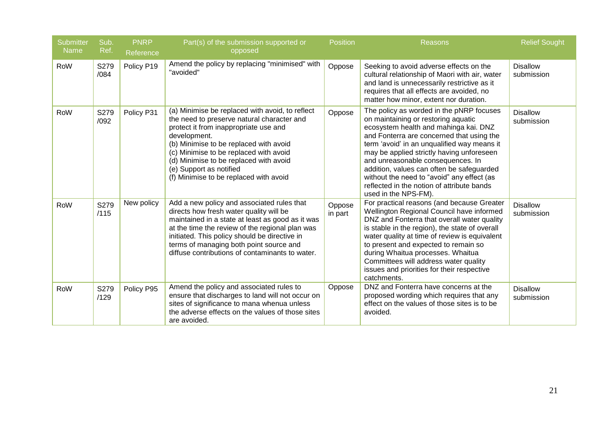| <b>Submitter</b><br><b>Name</b> | Sub.<br>Ref. | <b>PNRP</b><br>Reference | Part(s) of the submission supported or<br>opposed                                                                                                                                                                                                                                                                                                         | <b>Position</b>   | Reasons                                                                                                                                                                                                                                                                                                                                                                                                                                                                 | <b>Relief Sought</b>          |
|---------------------------------|--------------|--------------------------|-----------------------------------------------------------------------------------------------------------------------------------------------------------------------------------------------------------------------------------------------------------------------------------------------------------------------------------------------------------|-------------------|-------------------------------------------------------------------------------------------------------------------------------------------------------------------------------------------------------------------------------------------------------------------------------------------------------------------------------------------------------------------------------------------------------------------------------------------------------------------------|-------------------------------|
| RoW                             | S279<br>/084 | Policy P19               | Amend the policy by replacing "minimised" with<br>"avoided"                                                                                                                                                                                                                                                                                               | Oppose            | Seeking to avoid adverse effects on the<br>cultural relationship of Maori with air, water<br>and land is unnecessarily restrictive as it<br>requires that all effects are avoided, no<br>matter how minor, extent nor duration.                                                                                                                                                                                                                                         | <b>Disallow</b><br>submission |
| RoW                             | S279<br>/092 | Policy P31               | (a) Minimise be replaced with avoid, to reflect<br>the need to preserve natural character and<br>protect it from inappropriate use and<br>development.<br>(b) Minimise to be replaced with avoid<br>(c) Minimise to be replaced with avoid<br>(d) Minimise to be replaced with avoid<br>(e) Support as notified<br>(f) Minimise to be replaced with avoid | Oppose            | The policy as worded in the pNRP focuses<br>on maintaining or restoring aquatic<br>ecosystem health and mahinga kai. DNZ<br>and Fonterra are concerned that using the<br>term 'avoid' in an unqualified way means it<br>may be applied strictly having unforeseen<br>and unreasonable consequences. In<br>addition, values can often be safeguarded<br>without the need to "avoid" any effect (as<br>reflected in the notion of attribute bands<br>used in the NPS-FM). | <b>Disallow</b><br>submission |
| RoW                             | S279<br>/115 | New policy               | Add a new policy and associated rules that<br>directs how fresh water quality will be<br>maintained in a state at least as good as it was<br>at the time the review of the regional plan was<br>initiated. This policy should be directive in<br>terms of managing both point source and<br>diffuse contributions of contaminants to water.               | Oppose<br>in part | For practical reasons (and because Greater<br>Wellington Regional Council have informed<br>DNZ and Fonterra that overall water quality<br>is stable in the region), the state of overall<br>water quality at time of review is equivalent<br>to present and expected to remain so<br>during Whaitua processes. Whaitua<br>Committees will address water quality<br>issues and priorities for their respective<br>catchments.                                            | <b>Disallow</b><br>submission |
| RoW                             | S279<br>/129 | Policy P95               | Amend the policy and associated rules to<br>ensure that discharges to land will not occur on<br>sites of significance to mana whenua unless<br>the adverse effects on the values of those sites<br>are avoided.                                                                                                                                           | Oppose            | DNZ and Fonterra have concerns at the<br>proposed wording which requires that any<br>effect on the values of those sites is to be<br>avoided.                                                                                                                                                                                                                                                                                                                           | <b>Disallow</b><br>submission |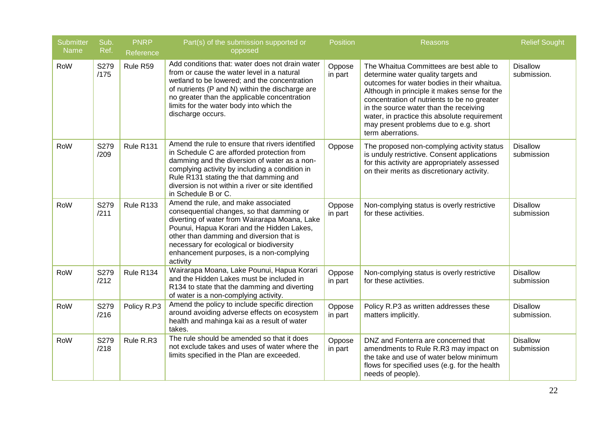| <b>Submitter</b><br>Name | Sub.<br>Ref. | <b>PNRP</b><br>Reference | Part(s) of the submission supported or<br>opposed                                                                                                                                                                                                                                                                               | Position          | Reasons                                                                                                                                                                                                                                                                                                                                                                               | <b>Relief Sought</b>           |
|--------------------------|--------------|--------------------------|---------------------------------------------------------------------------------------------------------------------------------------------------------------------------------------------------------------------------------------------------------------------------------------------------------------------------------|-------------------|---------------------------------------------------------------------------------------------------------------------------------------------------------------------------------------------------------------------------------------------------------------------------------------------------------------------------------------------------------------------------------------|--------------------------------|
| RoW                      | S279<br>/175 | Rule R59                 | Add conditions that: water does not drain water<br>from or cause the water level in a natural<br>wetland to be lowered; and the concentration<br>of nutrients (P and N) within the discharge are<br>no greater than the applicable concentration<br>limits for the water body into which the<br>discharge occurs.               | Oppose<br>in part | The Whaitua Committees are best able to<br>determine water quality targets and<br>outcomes for water bodies in their whaitua.<br>Although in principle it makes sense for the<br>concentration of nutrients to be no greater<br>in the source water than the receiving<br>water, in practice this absolute requirement<br>may present problems due to e.g. short<br>term aberrations. | <b>Disallow</b><br>submission. |
| RoW                      | S279<br>/209 | Rule R131                | Amend the rule to ensure that rivers identified<br>in Schedule C are afforded protection from<br>damming and the diversion of water as a non-<br>complying activity by including a condition in<br>Rule R131 stating the that damming and<br>diversion is not within a river or site identified<br>in Schedule B or C.          | Oppose            | The proposed non-complying activity status<br>is unduly restrictive. Consent applications<br>for this activity are appropriately assessed<br>on their merits as discretionary activity.                                                                                                                                                                                               | <b>Disallow</b><br>submission  |
| RoW                      | S279<br>/211 | Rule R133                | Amend the rule, and make associated<br>consequential changes, so that damming or<br>diverting of water from Wairarapa Moana, Lake<br>Pounui, Hapua Korari and the Hidden Lakes,<br>other than damming and diversion that is<br>necessary for ecological or biodiversity<br>enhancement purposes, is a non-complying<br>activity | Oppose<br>in part | Non-complying status is overly restrictive<br>for these activities.                                                                                                                                                                                                                                                                                                                   | <b>Disallow</b><br>submission  |
| RoW                      | S279<br>/212 | Rule R134                | Wairarapa Moana, Lake Pounui, Hapua Korari<br>and the Hidden Lakes must be included in<br>R134 to state that the damming and diverting<br>of water is a non-complying activity.                                                                                                                                                 | Oppose<br>in part | Non-complying status is overly restrictive<br>for these activities.                                                                                                                                                                                                                                                                                                                   | <b>Disallow</b><br>submission  |
| RoW                      | S279<br>/216 | Policy R.P3              | Amend the policy to include specific direction<br>around avoiding adverse effects on ecosystem<br>health and mahinga kai as a result of water<br>takes.                                                                                                                                                                         | Oppose<br>in part | Policy R.P3 as written addresses these<br>matters implicitly.                                                                                                                                                                                                                                                                                                                         | <b>Disallow</b><br>submission. |
| RoW                      | S279<br>/218 | Rule R.R3                | The rule should be amended so that it does<br>not exclude takes and uses of water where the<br>limits specified in the Plan are exceeded.                                                                                                                                                                                       | Oppose<br>in part | DNZ and Fonterra are concerned that<br>amendments to Rule R.R3 may impact on<br>the take and use of water below minimum<br>flows for specified uses (e.g. for the health<br>needs of people).                                                                                                                                                                                         | <b>Disallow</b><br>submission  |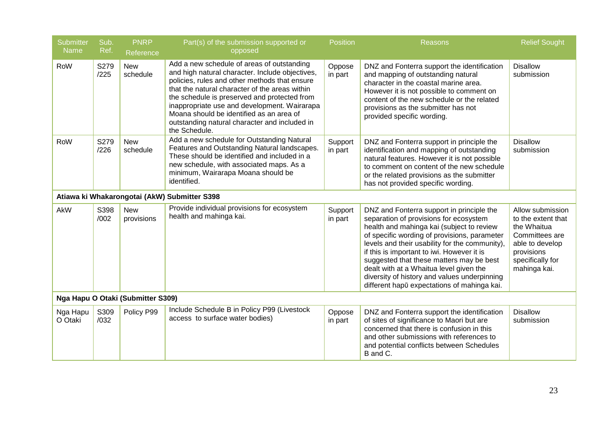| <b>Submitter</b><br><b>Name</b> | Sub.<br>Ref. | <b>PNRP</b><br>Reference          | Part(s) of the submission supported or<br>opposed                                                                                                                                                                                                                                                                                                                                                              | <b>Position</b>    | Reasons                                                                                                                                                                                                                                                                                                                                                                                                                                                                | <b>Relief Sought</b>                                                                                                                         |
|---------------------------------|--------------|-----------------------------------|----------------------------------------------------------------------------------------------------------------------------------------------------------------------------------------------------------------------------------------------------------------------------------------------------------------------------------------------------------------------------------------------------------------|--------------------|------------------------------------------------------------------------------------------------------------------------------------------------------------------------------------------------------------------------------------------------------------------------------------------------------------------------------------------------------------------------------------------------------------------------------------------------------------------------|----------------------------------------------------------------------------------------------------------------------------------------------|
| RoW                             | S279<br>/225 | <b>New</b><br>schedule            | Add a new schedule of areas of outstanding<br>and high natural character. Include objectives,<br>policies, rules and other methods that ensure<br>that the natural character of the areas within<br>the schedule is preserved and protected from<br>inappropriate use and development. Wairarapa<br>Moana should be identified as an area of<br>outstanding natural character and included in<br>the Schedule. | Oppose<br>in part  | DNZ and Fonterra support the identification<br>and mapping of outstanding natural<br>character in the coastal marine area.<br>However it is not possible to comment on<br>content of the new schedule or the related<br>provisions as the submitter has not<br>provided specific wording.                                                                                                                                                                              | <b>Disallow</b><br>submission                                                                                                                |
| RoW                             | S279<br>/226 | <b>New</b><br>schedule            | Add a new schedule for Outstanding Natural<br>Features and Outstanding Natural landscapes.<br>These should be identified and included in a<br>new schedule, with associated maps. As a<br>minimum, Wairarapa Moana should be<br>identified.                                                                                                                                                                    | Support<br>in part | DNZ and Fonterra support in principle the<br>identification and mapping of outstanding<br>natural features. However it is not possible<br>to comment on content of the new schedule<br>or the related provisions as the submitter<br>has not provided specific wording.                                                                                                                                                                                                | <b>Disallow</b><br>submission                                                                                                                |
|                                 |              |                                   | Atiawa ki Whakarongotai (AkW) Submitter S398                                                                                                                                                                                                                                                                                                                                                                   |                    |                                                                                                                                                                                                                                                                                                                                                                                                                                                                        |                                                                                                                                              |
| AkW                             | S398<br>/002 | <b>New</b><br>provisions          | Provide individual provisions for ecosystem<br>health and mahinga kai.                                                                                                                                                                                                                                                                                                                                         | Support<br>in part | DNZ and Fonterra support in principle the<br>separation of provisions for ecosystem<br>health and mahinga kai (subject to review<br>of specific wording of provisions, parameter<br>levels and their usability for the community),<br>if this is important to iwi. However it is<br>suggested that these matters may be best<br>dealt with at a Whaitua level given the<br>diversity of history and values underpinning<br>different hapū expectations of mahinga kai. | Allow submission<br>to the extent that<br>the Whaitua<br>Committees are<br>able to develop<br>provisions<br>specifically for<br>mahinga kai. |
|                                 |              | Nga Hapu O Otaki (Submitter S309) |                                                                                                                                                                                                                                                                                                                                                                                                                |                    |                                                                                                                                                                                                                                                                                                                                                                                                                                                                        |                                                                                                                                              |
| Nga Hapu<br>O Otaki             | S309<br>/032 | Policy P99                        | Include Schedule B in Policy P99 (Livestock<br>access to surface water bodies)                                                                                                                                                                                                                                                                                                                                 | Oppose<br>in part  | DNZ and Fonterra support the identification<br>of sites of significance to Maori but are<br>concerned that there is confusion in this<br>and other submissions with references to<br>and potential conflicts between Schedules<br>B and C.                                                                                                                                                                                                                             | <b>Disallow</b><br>submission                                                                                                                |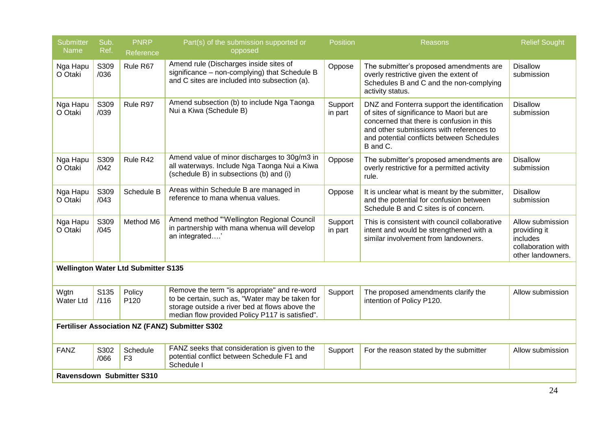| <b>Submitter</b>         | Sub.         | <b>PNRP</b>                                | Part(s) of the submission supported or                                                                                                                                                               | <b>Position</b>    | Reasons                                                                                                                                                                                                                                    | <b>Relief Sought</b>                                                                    |
|--------------------------|--------------|--------------------------------------------|------------------------------------------------------------------------------------------------------------------------------------------------------------------------------------------------------|--------------------|--------------------------------------------------------------------------------------------------------------------------------------------------------------------------------------------------------------------------------------------|-----------------------------------------------------------------------------------------|
| Name                     | Ref.         | Reference                                  | opposed                                                                                                                                                                                              |                    |                                                                                                                                                                                                                                            |                                                                                         |
| Nga Hapu<br>O Otaki      | S309<br>/036 | Rule R67                                   | Amend rule (Discharges inside sites of<br>significance - non-complying) that Schedule B<br>and C sites are included into subsection (a).                                                             | Oppose             | The submitter's proposed amendments are<br>overly restrictive given the extent of<br>Schedules B and C and the non-complying<br>activity status.                                                                                           | <b>Disallow</b><br>submission                                                           |
| Nga Hapu<br>O Otaki      | S309<br>/039 | Rule R97                                   | Amend subsection (b) to include Nga Taonga<br>Nui a Kiwa (Schedule B)                                                                                                                                | Support<br>in part | DNZ and Fonterra support the identification<br>of sites of significance to Maori but are<br>concerned that there is confusion in this<br>and other submissions with references to<br>and potential conflicts between Schedules<br>B and C. | <b>Disallow</b><br>submission                                                           |
| Nga Hapu<br>O Otaki      | S309<br>/042 | Rule R42                                   | Amend value of minor discharges to 30g/m3 in<br>all waterways. Include Nga Taonga Nui a Kiwa<br>(schedule B) in subsections (b) and (i)                                                              | Oppose             | The submitter's proposed amendments are<br>overly restrictive for a permitted activity<br>rule.                                                                                                                                            | <b>Disallow</b><br>submission                                                           |
| Nga Hapu<br>O Otaki      | S309<br>/043 | Schedule B                                 | Areas within Schedule B are managed in<br>reference to mana whenua values.                                                                                                                           | Oppose             | It is unclear what is meant by the submitter,<br>and the potential for confusion between<br>Schedule B and C sites is of concern.                                                                                                          | <b>Disallow</b><br>submission                                                           |
| Nga Hapu<br>O Otaki      | S309<br>/045 | Method M6                                  | Amend method "'Wellington Regional Council<br>in partnership with mana whenua will develop<br>an integrated'                                                                                         | Support<br>in part | This is consistent with council collaborative<br>intent and would be strengthened with a<br>similar involvement from landowners.                                                                                                           | Allow submission<br>providing it<br>includes<br>collaboration with<br>other landowners. |
|                          |              | <b>Wellington Water Ltd Submitter S135</b> |                                                                                                                                                                                                      |                    |                                                                                                                                                                                                                                            |                                                                                         |
| Wgtn<br><b>Water Ltd</b> | S135<br>/116 | Policy<br>P <sub>120</sub>                 | Remove the term "is appropriate" and re-word<br>to be certain, such as, "Water may be taken for<br>storage outside a river bed at flows above the<br>median flow provided Policy P117 is satisfied". | Support            | The proposed amendments clarify the<br>intention of Policy P120.                                                                                                                                                                           | Allow submission                                                                        |
|                          |              |                                            | Fertiliser Association NZ (FANZ) Submitter S302                                                                                                                                                      |                    |                                                                                                                                                                                                                                            |                                                                                         |
| <b>FANZ</b>              | S302<br>/066 | Schedule<br>F <sub>3</sub>                 | FANZ seeks that consideration is given to the<br>potential conflict between Schedule F1 and<br>Schedule I                                                                                            | Support            | For the reason stated by the submitter                                                                                                                                                                                                     | Allow submission                                                                        |
|                          |              | Ravensdown Submitter S310                  |                                                                                                                                                                                                      |                    |                                                                                                                                                                                                                                            |                                                                                         |